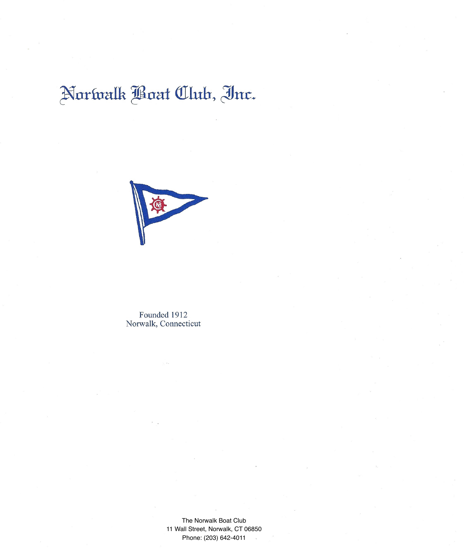## Norwalk Boat Club, Inc.



Founded 1912 Norwalk, Connecticut

> The Norwalk Boat Club 11 Wall Street, Norwalk, CT 06850 Phone: (203) 642-4011